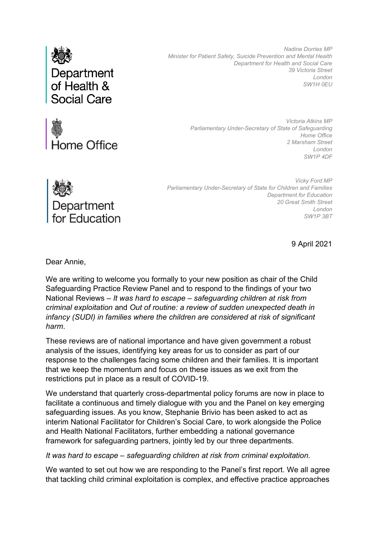

*Nadine Dorries MP Minister for Patient Safety, Suicide Prevention and Mental Health Department for Health and Social Care 39 Victoria Street London SW1H 0EU*



*Victoria Atkins MP Parliamentary Under-Secretary of State of Safeguarding Home Office 2 Marsham Street London SW1P 4DF*



*Vicky Ford MP Parliamentary Under-Secretary of State for Children and Families Department for Education 20 Great Smith Street London SW1P 3BT*

9 April 2021

Dear Annie,

We are writing to welcome you formally to your new position as chair of the Child Safeguarding Practice Review Panel and to respond to the findings of your two National Reviews – *It was hard to escape – safeguarding children at risk from criminal exploitation* and *Out of routine: a review of sudden unexpected death in infancy (SUDI) in families where the children are considered at risk of significant harm*.

These reviews are of national importance and have given government a robust analysis of the issues, identifying key areas for us to consider as part of our response to the challenges facing some children and their families. It is important that we keep the momentum and focus on these issues as we exit from the restrictions put in place as a result of COVID-19.

We understand that quarterly cross-departmental policy forums are now in place to facilitate a continuous and timely dialogue with you and the Panel on key emerging safeguarding issues. As you know, Stephanie Brivio has been asked to act as interim National Facilitator for Children's Social Care, to work alongside the Police and Health National Facilitators, further embedding a national governance framework for safeguarding partners, jointly led by our three departments.

*It was hard to escape – safeguarding children at risk from criminal exploitation.*

We wanted to set out how we are responding to the Panel's first report. We all agree that tackling child criminal exploitation is complex, and effective practice approaches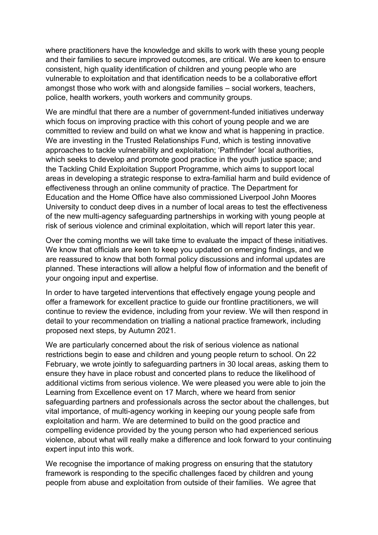where practitioners have the knowledge and skills to work with these young people and their families to secure improved outcomes, are critical. We are keen to ensure consistent, high quality identification of children and young people who are vulnerable to exploitation and that identification needs to be a collaborative effort amongst those who work with and alongside families – social workers, teachers, police, health workers, youth workers and community groups.

We are mindful that there are a number of government-funded initiatives underway which focus on improving practice with this cohort of young people and we are committed to review and build on what we know and what is happening in practice. We are investing in the Trusted Relationships Fund, which is testing innovative approaches to tackle vulnerability and exploitation; 'Pathfinder' local authorities, which seeks to develop and promote good practice in the youth justice space; and the Tackling Child Exploitation Support Programme, which aims to support local areas in developing a strategic response to extra-familial harm and build evidence of effectiveness through an online community of practice. The Department for Education and the Home Office have also commissioned Liverpool John Moores University to conduct deep dives in a number of local areas to test the effectiveness of the new multi-agency safeguarding partnerships in working with young people at risk of serious violence and criminal exploitation, which will report later this year.

Over the coming months we will take time to evaluate the impact of these initiatives. We know that officials are keen to keep you updated on emerging findings, and we are reassured to know that both formal policy discussions and informal updates are planned. These interactions will allow a helpful flow of information and the benefit of your ongoing input and expertise.

In order to have targeted interventions that effectively engage young people and offer a framework for excellent practice to guide our frontline practitioners, we will continue to review the evidence, including from your review. We will then respond in detail to your recommendation on trialling a national practice framework, including proposed next steps, by Autumn 2021.

We are particularly concerned about the risk of serious violence as national restrictions begin to ease and children and young people return to school. On 22 February, we wrote jointly to safeguarding partners in 30 local areas, asking them to ensure they have in place robust and concerted plans to reduce the likelihood of additional victims from serious violence. We were pleased you were able to join the Learning from Excellence event on 17 March, where we heard from senior safeguarding partners and professionals across the sector about the challenges, but vital importance, of multi-agency working in keeping our young people safe from exploitation and harm. We are determined to build on the good practice and compelling evidence provided by the young person who had experienced serious violence, about what will really make a difference and look forward to your continuing expert input into this work.

We recognise the importance of making progress on ensuring that the statutory framework is responding to the specific challenges faced by children and young people from abuse and exploitation from outside of their families. We agree that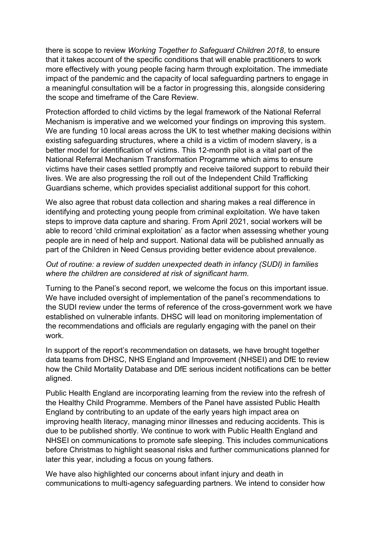there is scope to review *Working Together to Safeguard Children 2018*, to ensure that it takes account of the specific conditions that will enable practitioners to work more effectively with young people facing harm through exploitation. The immediate impact of the pandemic and the capacity of local safeguarding partners to engage in a meaningful consultation will be a factor in progressing this, alongside considering the scope and timeframe of the Care Review.

Protection afforded to child victims by the legal framework of the National Referral Mechanism is imperative and we welcomed your findings on improving this system. We are funding 10 local areas across the UK to test whether making decisions within existing safeguarding structures, where a child is a victim of modern slavery, is a better model for identification of victims. This 12-month pilot is a vital part of the National Referral Mechanism Transformation Programme which aims to ensure victims have their cases settled promptly and receive tailored support to rebuild their lives. We are also progressing the roll out of the Independent Child Trafficking Guardians scheme, which provides specialist additional support for this cohort.

We also agree that robust data collection and sharing makes a real difference in identifying and protecting young people from criminal exploitation. We have taken steps to improve data capture and sharing. From April 2021, social workers will be able to record 'child criminal exploitation' as a factor when assessing whether young people are in need of help and support. National data will be published annually as part of the Children in Need Census providing better evidence about prevalence.

## *Out of routine: a review of sudden unexpected death in infancy (SUDI) in families where the children are considered at risk of significant harm.*

Turning to the Panel's second report, we welcome the focus on this important issue. We have included oversight of implementation of the panel's recommendations to the SUDI review under the terms of reference of the cross-government work we have established on vulnerable infants. DHSC will lead on monitoring implementation of the recommendations and officials are regularly engaging with the panel on their work.

In support of the report's recommendation on datasets, we have brought together data teams from DHSC, NHS England and Improvement (NHSEI) and DfE to review how the Child Mortality Database and DfE serious incident notifications can be better aligned.

Public Health England are incorporating learning from the review into the refresh of the Healthy Child Programme. Members of the Panel have assisted Public Health England by contributing to an update of the early years high impact area on improving health literacy, managing minor illnesses and reducing accidents. This is due to be published shortly. We continue to work with Public Health England and NHSEI on communications to promote safe sleeping. This includes communications before Christmas to highlight seasonal risks and further communications planned for later this year, including a focus on young fathers.

We have also highlighted our concerns about infant injury and death in communications to multi-agency safeguarding partners. We intend to consider how